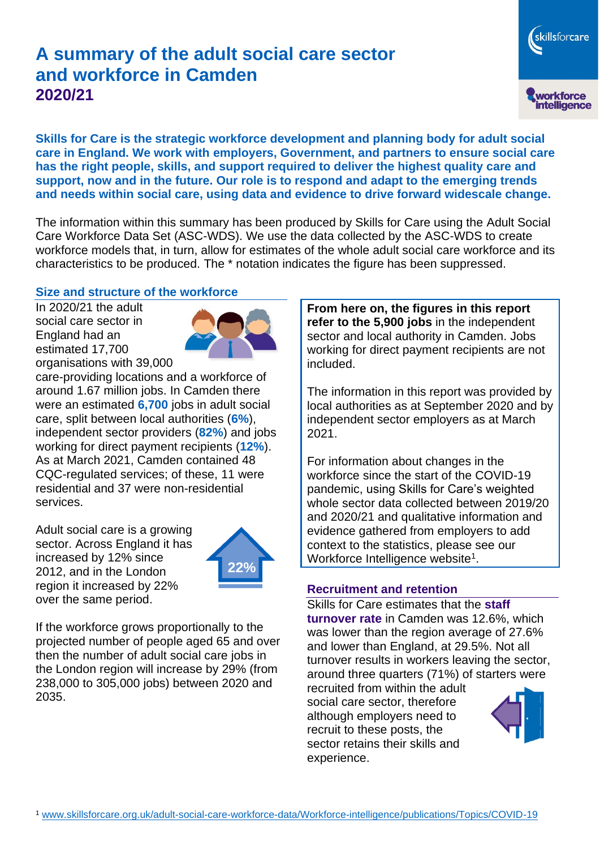# **A summary of the adult social care sector and workforce in Camden 2020/21**

workforce<br>intelligence

skillsforcare

**Skills for Care is the strategic workforce development and planning body for adult social care in England. We work with employers, Government, and partners to ensure social care has the right people, skills, and support required to deliver the highest quality care and support, now and in the future. Our role is to respond and adapt to the emerging trends and needs within social care, using data and evidence to drive forward widescale change.**

The information within this summary has been produced by Skills for Care using the Adult Social Care Workforce Data Set (ASC-WDS). We use the data collected by the ASC-WDS to create workforce models that, in turn, allow for estimates of the whole adult social care workforce and its characteristics to be produced. The \* notation indicates the figure has been suppressed.

#### **Size and structure of the workforce**

In 2020/21 the adult social care sector in England had an estimated 17,700 organisations with 39,000



care-providing locations and a workforce of around 1.67 million jobs. In Camden there were an estimated **6,700** jobs in adult social care, split between local authorities (**6%**), independent sector providers (**82%**) and jobs working for direct payment recipients (**12%**). As at March 2021, Camden contained 48 CQC-regulated services; of these, 11 were residential and 37 were non-residential services.

Adult social care is a growing sector. Across England it has increased by 12% since 2012, and in the London region it increased by 22% over the same period.



If the workforce grows proportionally to the projected number of people aged 65 and over then the number of adult social care jobs in the London region will increase by 29% (from 238,000 to 305,000 jobs) between 2020 and 2035.

**From here on, the figures in this report refer to the 5,900 jobs** in the independent sector and local authority in Camden. Jobs working for direct payment recipients are not included.

The information in this report was provided by local authorities as at September 2020 and by independent sector employers as at March 2021.

For information about changes in the workforce since the start of the COVID-19 pandemic, using Skills for Care's weighted whole sector data collected between 2019/20 and 2020/21 and qualitative information and evidence gathered from employers to add context to the statistics, please see our Workforce Intelligence website<sup>1</sup>.

#### **Recruitment and retention**

Skills for Care estimates that the **staff turnover rate** in Camden was 12.6%, which was lower than the region average of 27.6% and lower than England, at 29.5%. Not all turnover results in workers leaving the sector, around three quarters (71%) of starters were

recruited from within the adult social care sector, therefore although employers need to recruit to these posts, the sector retains their skills and experience.

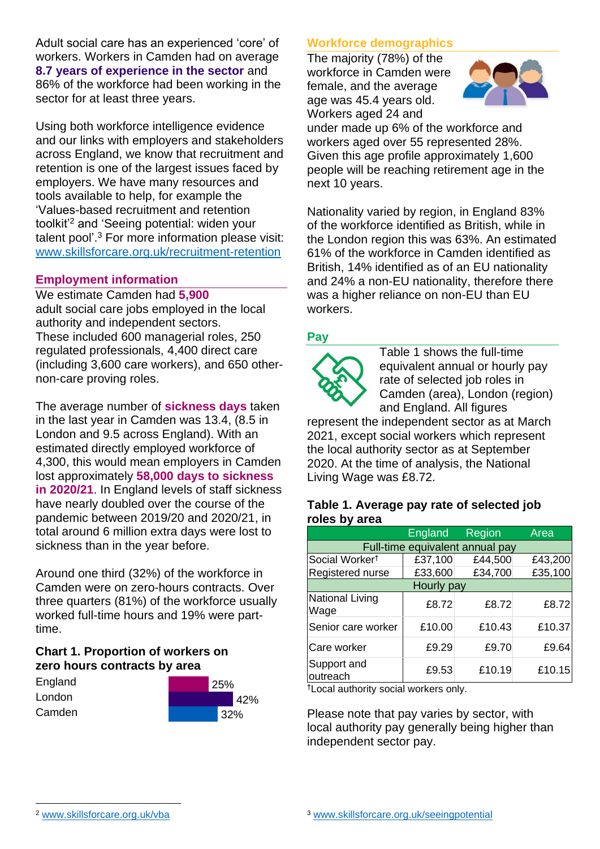Adult social care has an experienced 'core' of workers. Workers in Camden had on average **8.7 years of experience in the sector** and 86% of the workforce had been working in the sector for at least three years.

Using both workforce intelligence evidence and our links with employers and stakeholders across England, we know that recruitment and retention is one of the largest issues faced by employers. We have many resources and tools available to help, for example the 'Values-based recruitment and retention toolkit'<sup>2</sup> and 'Seeing potential: widen your talent pool'. <sup>3</sup> For more information please visit: [www.skillsforcare.org.uk/recruitment-retention](http://www.skillsforcare.org.uk/recruitment-retention)

### **Employment information**

We estimate Camden had **5,900** adult social care jobs employed in the local authority and independent sectors. These included 600 managerial roles, 250 regulated professionals, 4,400 direct care (including 3,600 care workers), and 650 othernon-care proving roles.

The average number of **sickness days** taken in the last year in Camden was 13.4, (8.5 in London and 9.5 across England). With an estimated directly employed workforce of 4,300, this would mean employers in Camden lost approximately **58,000 days to sickness in 2020/21**. In England levels of staff sickness have nearly doubled over the course of the pandemic between 2019/20 and 2020/21, in total around 6 million extra days were lost to sickness than in the year before.

Around one third (32%) of the workforce in Camden were on zero-hours contracts. Over three quarters (81%) of the workforce usually worked full-time hours and 19% were parttime.

### **Chart 1. Proportion of workers on zero hours contracts by area**

| England | 25% |  |
|---------|-----|--|
| London  | 42% |  |
| Camden  | 32% |  |

### **Workforce demographics**

The majority (78%) of the workforce in Camden were female, and the average age was 45.4 years old. Workers aged 24 and



under made up 6% of the workforce and workers aged over 55 represented 28%. Given this age profile approximately 1,600 people will be reaching retirement age in the next 10 years.

Nationality varied by region, in England 83% of the workforce identified as British, while in the London region this was 63%. An estimated 61% of the workforce in Camden identified as British, 14% identified as of an EU nationality and 24% a non-EU nationality, therefore there was a higher reliance on non-EU than EU workers.

### **Pay**



Table 1 shows the full-time equivalent annual or hourly pay rate of selected job roles in Camden (area), London (region) and England. All figures

represent the independent sector as at March 2021, except social workers which represent the local authority sector as at September 2020. At the time of analysis, the National Living Wage was £8.72.

#### **Table 1. Average pay rate of selected job roles by area**

|                                 | <b>England</b> | Region  | Area    |
|---------------------------------|----------------|---------|---------|
| Full-time equivalent annual pay |                |         |         |
| Social Worker <sup>†</sup>      | £37,100        | £44,500 | £43,200 |
| Registered nurse                | £33,600        | £34,700 | £35,100 |
| Hourly pay                      |                |         |         |
| National Living<br>Wage         | £8.72          | £8.72   | £8.72   |
| Senior care worker              | £10.00         | £10.43  | £10.37  |
| Care worker                     | £9.29          | £9.70   | £9.64   |
| Support and<br>outreach         | £9.53          | £10.19  | £10.15  |

†Local authority social workers only.

Please note that pay varies by sector, with local authority pay generally being higher than independent sector pay.